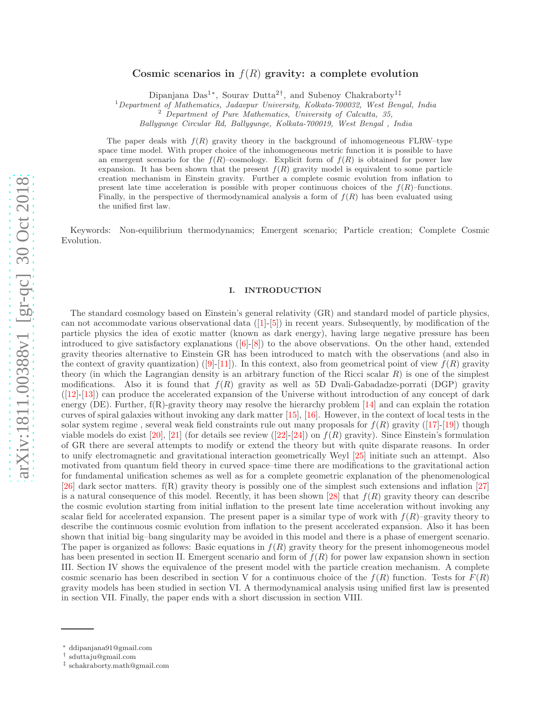# arXiv:1811.00388v1 [gr-qc] 30 Oct 2018 [arXiv:1811.00388v1 \[gr-qc\] 30 Oct 2018](http://arxiv.org/abs/1811.00388v1)

# Cosmic scenarios in  $f(R)$  gravity: a complete evolution

Dipanjana Das<sup>1\*</sup>, Sourav Dutta<sup>2†</sup>, and Subenoy Chakraborty<sup>1‡</sup>

<sup>1</sup>Department of Mathematics, Jadavpur University, Kolkata-700032, West Bengal, India <sup>2</sup> Department of Pure Mathematics, University of Calcutta, 35,

Ballygunge Circular Rd, Ballygunge, Kolkata-700019, West Bengal , India

The paper deals with  $f(R)$  gravity theory in the background of inhomogeneous FLRW–type space time model. With proper choice of the inhomogeneous metric function it is possible to have an emergent scenario for the  $f(R)$ -cosmology. Explicit form of  $f(R)$  is obtained for power law expansion. It has been shown that the present  $f(R)$  gravity model is equivalent to some particle creation mechanism in Einstein gravity. Further a complete cosmic evolution from inflation to present late time acceleration is possible with proper continuous choices of the  $f(R)$ -functions. Finally, in the perspective of thermodynamical analysis a form of  $f(R)$  has been evaluated using the unified first law.

Keywords: Non-equilibrium thermodynamics; Emergent scenario; Particle creation; Complete Cosmic Evolution.

### I. INTRODUCTION

The standard cosmology based on Einstein's general relativity (GR) and standard model of particle physics, can not accommodate various observational data ([ [1](#page-10-0)]-[ [5](#page-11-0)]) in recent years. Subsequently, by modification of the particle physics the idea of exotic matter (known as dark energy), having large negative pressure has been introduced to give satisfactory explanations  $([6]-[8])$  $([6]-[8])$  $([6]-[8])$  $([6]-[8])$  $([6]-[8])$  to the above observations. On the other hand, extended gravity theories alternative to Einstein GR has been introduced to match with the observations (and also in the context of gravity quantization) ([[9\]](#page-11-3)-[\[11\]](#page-11-4)). In this context, also from geometrical point of view  $f(R)$  gravity theory (in which the Lagrangian density is an arbitrary function of the Ricci scalar  $R$ ) is one of the simplest modifications. Also it is found that  $f(R)$  gravity as well as 5D Dvali-Gabadadze-porrati (DGP) gravity ([\[12\]](#page-11-5)-[\[13\]](#page-11-6)) can produce the accelerated expansion of the Universe without introduction of any concept of dark energy (DE). Further,  $f(R)$ -gravity theory may resolve the hierarchy problem [\[14\]](#page-11-7) and can explain the rotation curves of spiral galaxies without invoking any dark matter [\[15](#page-11-8)], [\[16](#page-11-9)]. However, in the context of local tests in the solarsystem regime, several weak field constraints rule out many proposals for  $f(R)$  gravity  $([17]-[19])$  $([17]-[19])$  $([17]-[19])$  $([17]-[19])$  $([17]-[19])$  though viablemodels do exist  $[20]$ ,  $[21]$  (for details see review  $([22]$  $([22]$ - $[24]$ ) on  $f(R)$  gravity). Since Einstein's formulation of GR there are several attempts to modify or extend the theory but with quite disparate reasons. In order to unify electromagnetic and gravitational interaction geometrically Weyl [\[25\]](#page-11-16) initiate such an attempt. Also motivated from quantum field theory in curved space–time there are modifications to the gravitational action for fundamental unification schemes as well as for a complete geometric explanation of the phenomenological [\[26\]](#page-11-17) dark sector matters. f(R) gravity theory is possibly one of the simplest such extensions and inflation [\[27](#page-11-18)] is a natural consequence of this model. Recently, it has been shown  $[28]$  $[28]$  that  $f(R)$  gravity theory can describe the cosmic evolution starting from initial inflation to the present late time acceleration without invoking any scalar field for accelerated expansion. The present paper is a similar type of work with  $f(R)$ -gravity theory to describe the continuous cosmic evolution from inflation to the present accelerated expansion. Also it has been shown that initial big–bang singularity may be avoided in this model and there is a phase of emergent scenario. The paper is organized as follows: Basic equations in  $f(R)$  gravity theory for the present inhomogeneous model has been presented in section II. Emergent scenario and form of  $f(R)$  for power law expansion shown in section III. Section IV shows the equivalence of the present model with the particle creation mechanism. A complete cosmic scenario has been described in section V for a continuous choice of the  $f(R)$  function. Tests for  $F(R)$ gravity models has been studied in section VI. A thermodynamical analysis using unified first law is presented in section VII. Finally, the paper ends with a short discussion in section VIII.

<sup>∗</sup> ddipanjana91@gmail.com

<sup>†</sup> sduttaju@gmail.com

<sup>‡</sup> schakraborty.math@gmail.com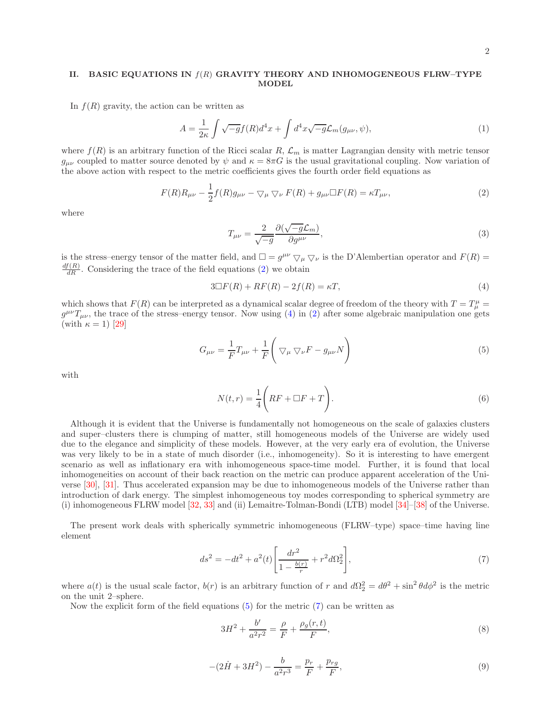# II. BASIC EQUATIONS IN  $f(R)$  GRAVITY THEORY AND INHOMOGENEOUS FLRW–TYPE MODEL

In  $f(R)$  gravity, the action can be written as

$$
A = \frac{1}{2\kappa} \int \sqrt{-g} f(R) d^4 x + \int d^4 x \sqrt{-g} \mathcal{L}_m(g_{\mu\nu}, \psi), \tag{1}
$$

where  $f(R)$  is an arbitrary function of the Ricci scalar R,  $\mathcal{L}_m$  is matter Lagrangian density with metric tensor  $g_{\mu\nu}$  coupled to matter source denoted by  $\psi$  and  $\kappa = 8\pi G$  is the usual gravitational coupling. Now variation of the above action with respect to the metric coefficients gives the fourth order field equations as

$$
F(R)R_{\mu\nu} - \frac{1}{2}f(R)g_{\mu\nu} - \nabla_{\mu}\nabla_{\nu}F(R) + g_{\mu\nu}\Box F(R) = \kappa T_{\mu\nu},\tag{2}
$$

where

<span id="page-1-1"></span><span id="page-1-0"></span>
$$
T_{\mu\nu} = \frac{2}{\sqrt{-g}} \frac{\partial(\sqrt{-g}\mathcal{L}_m)}{\partial g^{\mu\nu}},\tag{3}
$$

is the stress–energy tensor of the matter field, and  $\square = g^{\mu\nu} \nabla_{\mu} \nabla_{\nu}$  is the D'Alembertian operator and  $F(R) =$  $\frac{df(R)}{dR}$ . Considering the trace of the field equations [\(2\)](#page-1-0) we obtain

$$
3\Box F(R) + RF(R) - 2f(R) = \kappa T,\tag{4}
$$

<span id="page-1-2"></span>which shows that  $F(R)$  can be interpreted as a dynamical scalar degree of freedom of the theory with  $T = T^{\mu}_{\mu}$  $g^{\mu\nu}T_{\mu\nu}$ , the trace of the stress–energy tensor. Now using [\(4\)](#page-1-1) in [\(2\)](#page-1-0) after some algebraic manipulation one gets (with  $\kappa = 1$ ) [\[29\]](#page-11-20)

$$
G_{\mu\nu} = \frac{1}{F}T_{\mu\nu} + \frac{1}{F}\left(\nabla_{\mu}\nabla_{\nu}F - g_{\mu\nu}N\right)
$$
\n(5)

with

$$
N(t,r) = \frac{1}{4} \left( RF + \Box F + T \right). \tag{6}
$$

Although it is evident that the Universe is fundamentally not homogeneous on the scale of galaxies clusters and super–clusters there is clumping of matter, still homogeneous models of the Universe are widely used due to the elegance and simplicity of these models. However, at the very early era of evolution, the Universe was very likely to be in a state of much disorder (i.e., inhomogeneity). So it is interesting to have emergent scenario as well as inflationary era with inhomogeneous space-time model. Further, it is found that local inhomogeneities on account of their back reaction on the metric can produce apparent acceleration of the Universe [\[30\]](#page-11-21), [\[31\]](#page-11-22). Thus accelerated expansion may be due to inhomogeneous models of the Universe rather than introduction of dark energy. The simplest inhomogeneous toy modes corresponding to spherical symmetry are (i) inhomogeneous FLRW model [\[32](#page-11-23), [33\]](#page-11-24) and (ii) Lemaitre-Tolman-Bondi (LTB) model [\[34\]](#page-11-25)–[\[38\]](#page-11-26) of the Universe.

<span id="page-1-3"></span>The present work deals with spherically symmetric inhomogeneous (FLRW–type) space–time having line element

$$
ds^{2} = -dt^{2} + a^{2}(t) \left[ \frac{dr^{2}}{1 - \frac{b(r)}{r}} + r^{2} d\Omega_{2}^{2} \right],
$$
\n(7)

where  $a(t)$  is the usual scale factor,  $b(r)$  is an arbitrary function of r and  $d\Omega_2^2 = d\theta^2 + \sin^2 \theta d\phi^2$  is the metric on the unit 2–sphere.

<span id="page-1-5"></span>Now the explicit form of the field equations [\(5\)](#page-1-2) for the metric [\(7\)](#page-1-3) can be written as

<span id="page-1-4"></span>
$$
3H^2 + \frac{b'}{a^2r^2} = \frac{\rho}{F} + \frac{\rho_g(r,t)}{F},\tag{8}
$$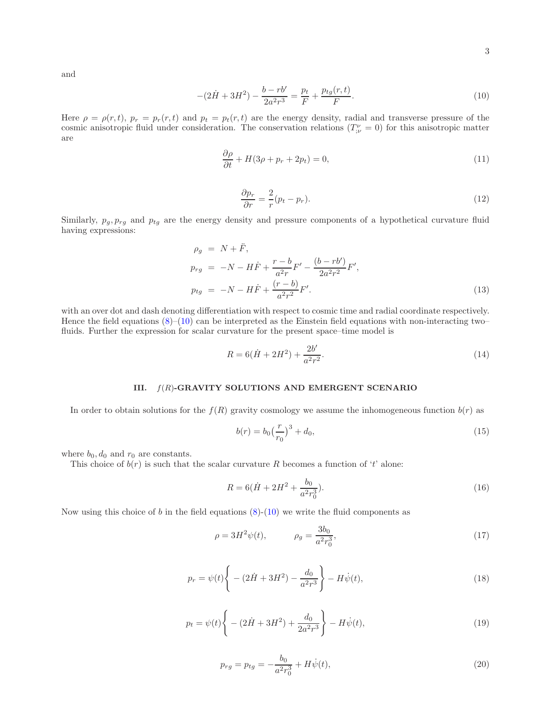<span id="page-2-0"></span>and

$$
-(2\dot{H} + 3H^2) - \frac{b - rb'}{2a^2r^3} = \frac{p_t}{F} + \frac{p_{tg}(r,t)}{F}.
$$
\n(10)

<span id="page-2-1"></span>Here  $\rho = \rho(r, t)$ ,  $p_r = p_r(r, t)$  and  $p_t = p_t(r, t)$  are the energy density, radial and transverse pressure of the cosmic anisotropic fluid under consideration. The conservation relations  $(T^{\nu}_{;\nu}=0)$  for this anisotropic matter are

$$
\frac{\partial \rho}{\partial t} + H(3\rho + p_r + 2p_t) = 0,\tag{11}
$$

$$
\frac{\partial p_r}{\partial r} = \frac{2}{r}(p_t - p_r). \tag{12}
$$

<span id="page-2-2"></span>Similarly,  $p_g$ ,  $p_{rg}$  and  $p_{tg}$  are the energy density and pressure components of a hypothetical curvature fluid having expressions:

<span id="page-2-6"></span>
$$
\rho_g = N + \ddot{F}, \n p_{rg} = -N - H\dot{F} + \frac{r - b}{a^2r}F' - \frac{(b - rb')}{2a^2r^2}F', \n p_{tg} = -N - H\dot{F} + \frac{(r - b)}{a^2r^2}F'.
$$
\n(13)

with an over dot and dash denoting differentiation with respect to cosmic time and radial coordinate respectively. Hence the field equations [\(8\)](#page-1-4)–[\(10\)](#page-2-0) can be interpreted as the Einstein field equations with non-interacting two– fluids. Further the expression for scalar curvature for the present space–time model is

$$
R = 6(\dot{H} + 2H^2) + \frac{2b'}{a^2r^2}.
$$
\n(14)

### III.  $f(R)$ -GRAVITY SOLUTIONS AND EMERGENT SCENARIO

In order to obtain solutions for the  $f(R)$  gravity cosmology we assume the inhomogeneous function  $b(r)$  as

<span id="page-2-8"></span>
$$
b(r) = b_0 \left(\frac{r}{r_0}\right)^3 + d_0,\tag{15}
$$

where  $b_0$ ,  $d_0$  and  $r_0$  are constants.

This choice of  $b(r)$  is such that the scalar curvature R becomes a function of 't' alone:

<span id="page-2-3"></span>
$$
R = 6(\dot{H} + 2H^2 + \frac{b_0}{a^2 r_0^3}).
$$
\n(16)

<span id="page-2-5"></span><span id="page-2-4"></span>Now using this choice of  $b$  in the field equations  $(8)-(10)$  $(8)-(10)$  we write the fluid components as

$$
\rho = 3H^2\psi(t), \qquad \rho_g = \frac{3b_0}{a^2r_0^3}, \qquad (17)
$$

$$
p_r = \psi(t) \left\{ - (2\dot{H} + 3H^2) - \frac{d_0}{a^2 r^3} \right\} - H \dot{\psi}(t), \tag{18}
$$

<span id="page-2-7"></span>
$$
p_t = \psi(t) \left\{ - (2\dot{H} + 3H^2) + \frac{d_0}{2a^2r^3} \right\} - H\dot{\psi}(t),\tag{19}
$$

$$
p_{rg} = p_{tg} = -\frac{b_0}{a^2 r_0^3} + H\dot{\psi}(t),\tag{20}
$$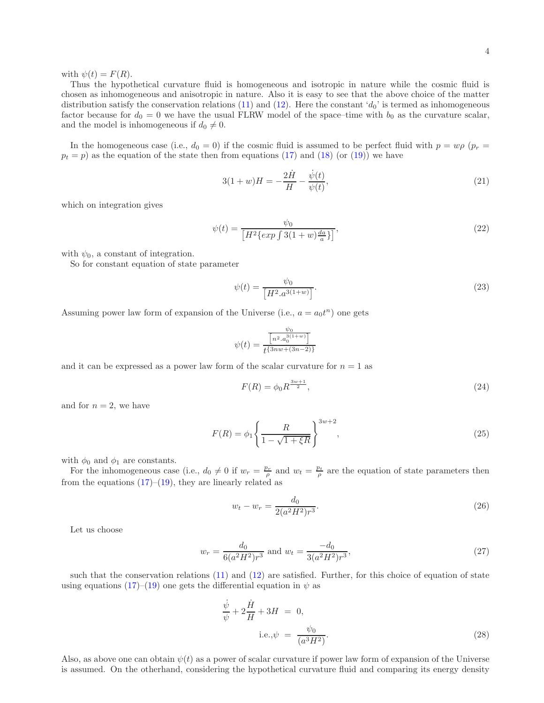with  $\psi(t) = F(R)$ .

Thus the hypothetical curvature fluid is homogeneous and isotropic in nature while the cosmic fluid is chosen as inhomogeneous and anisotropic in nature. Also it is easy to see that the above choice of the matter distribution satisfy the conservation relations [\(11\)](#page-2-1) and [\(12\)](#page-2-2). Here the constant ' $d_0$ ' is termed as inhomogeneous factor because for  $d_0 = 0$  we have the usual FLRW model of the space–time with  $b_0$  as the curvature scalar, and the model is inhomogeneous if  $d_0 \neq 0$ .

In the homogeneous case (i.e.,  $d_0 = 0$ ) if the cosmic fluid is assumed to be perfect fluid with  $p = w\rho$  ( $p_r =$  $p_t = p$  as the equation of the state then from equations [\(17\)](#page-2-3) and [\(18\)](#page-2-4) (or [\(19\)](#page-2-5)) we have

$$
3(1+w)H = -\frac{2\dot{H}}{H} - \frac{\dot{\psi}(t)}{\psi(t)},
$$
\n(21)

which on integration gives

$$
\psi(t) = \frac{\psi_0}{\left[H^2\{\exp\int 3(1+w)\frac{da}{a}\}\right]},\tag{22}
$$

with  $\psi_0$ , a constant of integration.

So for constant equation of state parameter

$$
\psi(t) = \frac{\psi_0}{[H^2 \cdot a^{3(1+w)}]}.
$$
\n(23)

Assuming power law form of expansion of the Universe (i.e.,  $a = a_0 t^n$ ) one gets

$$
\psi(t) = \frac{\frac{\psi_0}{\left[n^2 \cdot a_0^{3(1+w)}\right]}}{t^{\{3nw + (3n-2)\}}}
$$

and it can be expressed as a power law form of the scalar curvature for  $n = 1$  as

<span id="page-3-1"></span>
$$
F(R) = \phi_0 R^{\frac{3w+1}{2}},\tag{24}
$$

and for  $n = 2$ , we have

<span id="page-3-2"></span>
$$
F(R) = \phi_1 \left\{ \frac{R}{1 - \sqrt{1 + \xi R}} \right\}^{3w+2},
$$
\n(25)

with  $\phi_0$  and  $\phi_1$  are constants.

For the inhomogeneous case (i.e.,  $d_0 \neq 0$  if  $w_r = \frac{p_r}{\rho}$  and  $w_t = \frac{p_t}{\rho}$  are the equation of state parameters then from the equations  $(17)$ – $(19)$ , they are linearly related as

$$
w_t - w_r = \frac{d_0}{2(a^2H^2)r^3}.
$$
\n(26)

Let us choose

$$
w_r = \frac{d_0}{6(a^2H^2)r^3} \text{ and } w_t = \frac{-d_0}{3(a^2H^2)r^3},\tag{27}
$$

such that the conservation relations [\(11\)](#page-2-1) and [\(12\)](#page-2-2) are satisfied. Further, for this choice of equation of state using equations [\(17\)](#page-2-3)–[\(19\)](#page-2-5) one gets the differential equation in  $\psi$  as

<span id="page-3-0"></span>
$$
\frac{\dot{\psi}}{\psi} + 2\frac{\dot{H}}{H} + 3H = 0,
$$
  
i.e., 
$$
\psi = \frac{\psi_0}{(a^3 H^2)}.
$$
 (28)

Also, as above one can obtain  $\psi(t)$  as a power of scalar curvature if power law form of expansion of the Universe is assumed. On the otherhand, considering the hypothetical curvature fluid and comparing its energy density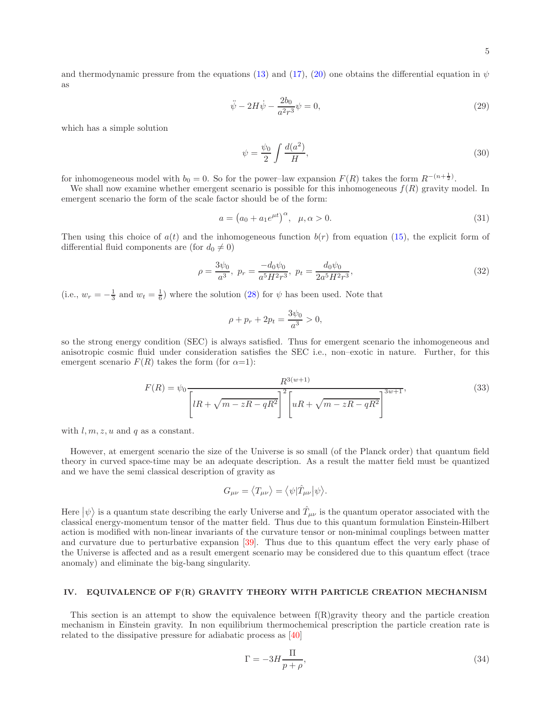and thermodynamic pressure from the equations [\(13\)](#page-2-6) and [\(17\)](#page-2-3), [\(20\)](#page-2-7) one obtains the differential equation in  $\psi$ as

$$
\ddot{\psi} - 2H\dot{\psi} - \frac{2b_0}{a^2r^3}\psi = 0,
$$
\n(29)

which has a simple solution

$$
\psi = \frac{\psi_0}{2} \int \frac{d(a^2)}{H},\tag{30}
$$

for inhomogeneous model with  $b_0 = 0$ . So for the power–law expansion  $F(R)$  takes the form  $R^{-(n+\frac{1}{2})}$ .

We shall now examine whether emergent scenario is possible for this inhomogeneous  $f(R)$  gravity model. In emergent scenario the form of the scale factor should be of the form:

$$
a = (a_0 + a_1 e^{\mu t})^{\alpha}, \ \mu, \alpha > 0. \tag{31}
$$

Then using this choice of  $a(t)$  and the inhomogeneous function  $b(r)$  from equation [\(15\)](#page-2-8), the explicit form of differential fluid components are (for  $d_0 \neq 0$ )

$$
\rho = \frac{3\psi_0}{a^3}, \ p_r = \frac{-d_0\psi_0}{a^5 H^2 r^3}, \ p_t = \frac{d_0\psi_0}{2a^5 H^2 r^3}, \tag{32}
$$

(i.e.,  $w_r = -\frac{1}{3}$  and  $w_t = \frac{1}{6}$ ) where the solution [\(28\)](#page-3-0) for  $\psi$  has been used. Note that

$$
\rho + p_r + 2p_t = \frac{3\psi_0}{a^3} > 0,
$$

so the strong energy condition (SEC) is always satisfied. Thus for emergent scenario the inhomogeneous and anisotropic cosmic fluid under consideration satisfies the SEC i.e., non–exotic in nature. Further, for this emergent scenario  $F(R)$  takes the form (for  $\alpha=1$ ):

$$
F(R) = \psi_0 \frac{R^{3(w+1)}}{\left[lR + \sqrt{m - zR - qR^2}\right]^2 \left[uR + \sqrt{m - zR - qR^2}\right]^{3w+1}},
$$
\n(33)

with  $l, m, z, u$  and q as a constant.

However, at emergent scenario the size of the Universe is so small (of the Planck order) that quantum field theory in curved space-time may be an adequate description. As a result the matter field must be quantized and we have the semi classical description of gravity as

$$
G_{\mu\nu} = \langle T_{\mu\nu} \rangle = \langle \psi | \hat{T}_{\mu\nu} | \psi \rangle.
$$

Here  $|\psi\rangle$  is a quantum state describing the early Universe and  $\hat{T}_{\mu\nu}$  is the quantum operator associated with the classical energy-momentum tensor of the matter field. Thus due to this quantum formulation Einstein-Hilbert action is modified with non-linear invariants of the curvature tensor or non-minimal couplings between matter and curvature due to perturbative expansion [\[39\]](#page-11-27). Thus due to this quantum effect the very early phase of the Universe is affected and as a result emergent scenario may be considered due to this quantum effect (trace anomaly) and eliminate the big-bang singularity.

### IV. EQUIVALENCE OF F(R) GRAVITY THEORY WITH PARTICLE CREATION MECHANISM

This section is an attempt to show the equivalence between  $f(R)$ gravity theory and the particle creation mechanism in Einstein gravity. In non equilibrium thermochemical prescription the particle creation rate is related to the dissipative pressure for adiabatic process as [\[40\]](#page-12-0)

<span id="page-4-0"></span>
$$
\Gamma = -3H \frac{\Pi}{p+\rho},\tag{34}
$$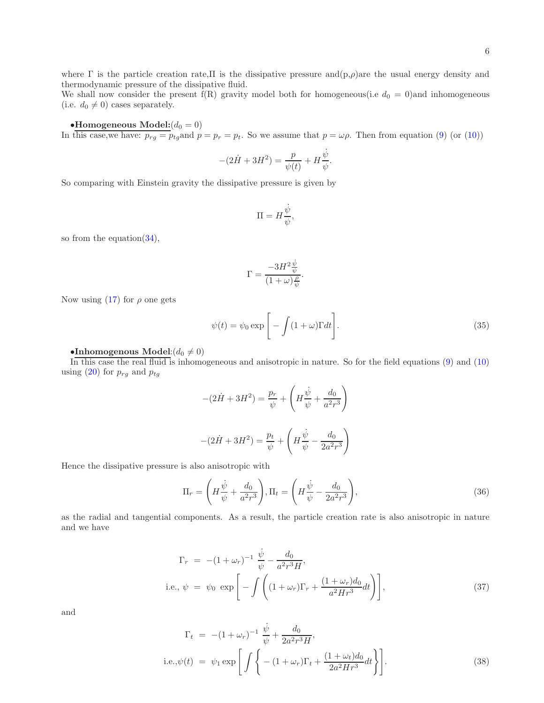where  $\Gamma$  is the particle creation rate,  $\Pi$  is the dissipative pressure and $(p,\rho)$ are the usual energy density and thermodynamic pressure of the dissipative fluid.

We shall now consider the present  $f(R)$  gravity model both for homogeneous(i.e  $d_0 = 0$ )and inhomogeneous (i.e.  $d_0 \neq 0$ ) cases separately.

# •Homogeneous Model: $(d_0 = 0)$

In this case, we have:  $p_{rg} = p_{tg}$  and  $p = p_r = p_t$ . So we assume that  $p = \omega \rho$ . Then from equation [\(9\)](#page-1-5) (or [\(10\)](#page-2-0))

$$
-(2\dot{H} + 3H^2) = \frac{p}{\psi(t)} + H\frac{\dot{\psi}}{\psi}.
$$

So comparing with Einstein gravity the dissipative pressure is given by

$$
\Pi=H\frac{\dot{\psi}}{\psi},
$$

so from the equation( $34$ ),

$$
\Gamma = \frac{-3H^2\frac{\dot{\psi}}{\psi}}{(1+\omega)\frac{\rho}{\psi}}.
$$

Now using  $(17)$  for  $\rho$  one gets

<span id="page-5-2"></span>
$$
\psi(t) = \psi_0 \exp\left[-\int (1+\omega)\Gamma dt\right].
$$
\n(35)

# •Inhomogenous Model: $(d_0 \neq 0)$

In this case the real fluid is inhomogeneous and anisotropic in nature. So for the field equations [\(9\)](#page-1-5) and [\(10\)](#page-2-0) using [\(20\)](#page-2-7) for  $p_{rg}$  and  $p_{tg}$ 

$$
-(2\dot{H} + 3H^2) = \frac{p_r}{\psi} + \left(H\frac{\dot{\psi}}{\psi} + \frac{d_0}{a^2r^3}\right)
$$

$$
-(2\dot{H} + 3H^2) = \frac{p_t}{\psi} + \left(H\frac{\dot{\psi}}{\psi} - \frac{d_0}{2a^2r^3}\right)
$$

Hence the dissipative pressure is also anisotropic with

$$
\Pi_r = \left( H \frac{\dot{\psi}}{\psi} + \frac{d_0}{a^2 r^3} \right), \Pi_t = \left( H \frac{\dot{\psi}}{\psi} - \frac{d_0}{2a^2 r^3} \right),\tag{36}
$$

as the radial and tangential components. As a result, the particle creation rate is also anisotropic in nature and we have

<span id="page-5-0"></span>
$$
\Gamma_r = -(1 + \omega_r)^{-1} \frac{\dot{\psi}}{\psi} - \frac{d_0}{a^2 r^3 H},
$$
  
i.e.,  $\psi = \psi_0 \exp\left[-\int \left((1 + \omega_r)\Gamma_r + \frac{(1 + \omega_r)d_0}{a^2 H r^3} dt\right)\right],$  (37)

and

<span id="page-5-1"></span>
$$
\Gamma_t = -(1 + \omega_r)^{-1} \frac{\dot{\psi}}{\psi} + \frac{d_0}{2a^2 r^3 H},
$$
  
i.e.,  $\psi(t) = \psi_1 \exp\left[\int \left\{ -(1 + \omega_r) \Gamma_t + \frac{(1 + \omega_t) d_0}{2a^2 H r^3} dt \right\} \right].$  (38)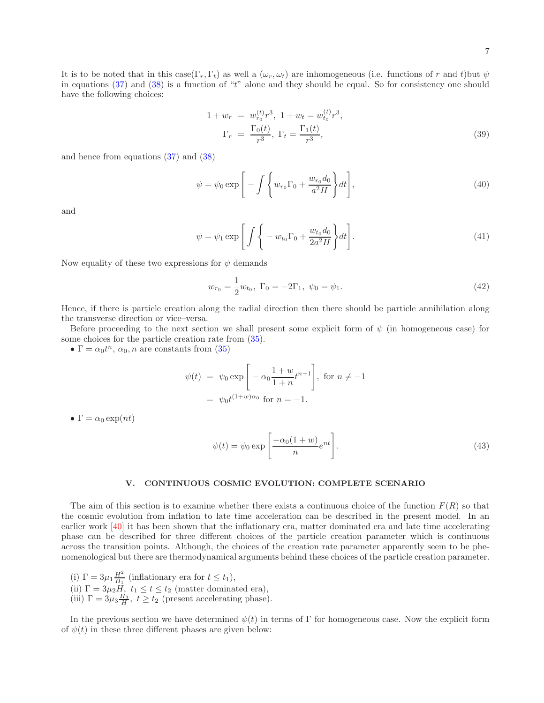It is to be noted that in this case( $\Gamma_r, \Gamma_t$ ) as well a ( $\omega_r, \omega_t$ ) are inhomogeneous (i.e. functions of r and t)but  $\psi$ in equations [\(37\)](#page-5-0) and [\(38\)](#page-5-1) is a function of "t" alone and they should be equal. So for consistency one should have the following choices:

$$
1 + w_r = w_{r_0}^{(t)} r^3, 1 + w_t = w_{t_0}^{(t)} r^3,
$$
  

$$
\Gamma_r = \frac{\Gamma_0(t)}{r^3}, \Gamma_t = \frac{\Gamma_1(t)}{r^3},
$$
 (39)

and hence from equations [\(37\)](#page-5-0) and [\(38\)](#page-5-1)

$$
\psi = \psi_0 \exp\left[-\int \left\{w_{r_0} \Gamma_0 + \frac{w_{r_0} d_0}{a^2 H}\right\} dt\right],\tag{40}
$$

and

$$
\psi = \psi_1 \exp\left[\int \left\{-w_{t_0} \Gamma_0 + \frac{w_{t_0} d_0}{2a^2 H}\right\} dt\right].
$$
\n(41)

Now equality of these two expressions for  $\psi$  demands

$$
w_{r_0} = \frac{1}{2} w_{t_0}, \ \Gamma_0 = -2\Gamma_1, \ \psi_0 = \psi_1. \tag{42}
$$

Hence, if there is particle creation along the radial direction then there should be particle annihilation along the transverse direction or vice–versa.

Before proceeding to the next section we shall present some explicit form of  $\psi$  (in homogeneous case) for some choices for the particle creation rate from [\(35\)](#page-5-2).

•  $\Gamma = \alpha_0 t^n$ ,  $\alpha_0$ , *n* are constants from [\(35\)](#page-5-2)

$$
\psi(t) = \psi_0 \exp\left[-\alpha_0 \frac{1+w}{1+n} t^{n+1}\right], \text{ for } n \neq -1
$$

$$
= \psi_0 t^{(1+w)\alpha_0} \text{ for } n = -1.
$$

•  $\Gamma = \alpha_0 \exp(nt)$ 

$$
\psi(t) = \psi_0 \exp\left[\frac{-\alpha_0(1+w)}{n}e^{nt}\right].\tag{43}
$$

# V. CONTINUOUS COSMIC EVOLUTION: COMPLETE SCENARIO

The aim of this section is to examine whether there exists a continuous choice of the function  $F(R)$  so that the cosmic evolution from inflation to late time acceleration can be described in the present model. In an earlier work [\[40](#page-12-0)] it has been shown that the inflationary era, matter dominated era and late time accelerating phase can be described for three different choices of the particle creation parameter which is continuous across the transition points. Although, the choices of the creation rate parameter apparently seem to be phenomenological but there are thermodynamical arguments behind these choices of the particle creation parameter.

(i)  $\Gamma = 3\mu_1 \frac{H^2}{H_1}$  (inflationary era for  $t \le t_1$ ), (ii)  $\Gamma = 3\mu_2 H$ ,  $t_1 \le t \le t_2$  (matter dominated era), (iii)  $\Gamma = 3\mu_3 \frac{H_3}{H}$ ,  $t \ge t_2$  (present accelerating phase).

In the previous section we have determined  $\psi(t)$  in terms of Γ for homogeneous case. Now the explicit form of  $\psi(t)$  in these three different phases are given below: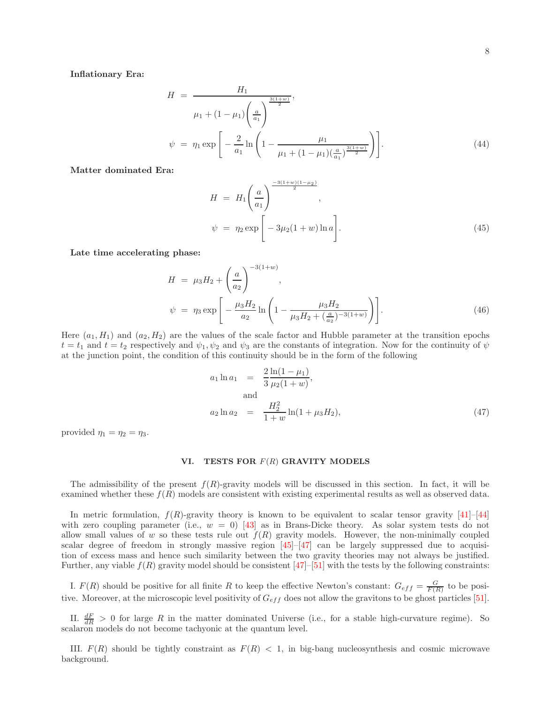Inflationary Era:

$$
H = \frac{H_1}{\mu_1 + (1 - \mu_1) \left(\frac{a}{a_1}\right)^{\frac{3(1+w)}{2}}},
$$
  

$$
\psi = \eta_1 \exp\left[-\frac{2}{a_1} \ln\left(1 - \frac{\mu_1}{\mu_1 + (1 - \mu_1)\left(\frac{a}{a_1}\right)^{\frac{3(1+w)}{2}}}\right)\right].
$$
 (44)

Matter dominated Era:

$$
H = H_1 \left( \frac{a}{a_1} \right)^{\frac{-3(1+w)(1-\mu_2)}{2}},
$$
  

$$
\psi = \eta_2 \exp \left[ -3\mu_2 (1+w) \ln a \right].
$$
 (45)

Late time accelerating phase:

$$
H = \mu_3 H_2 + \left(\frac{a}{a_2}\right)^{-3(1+w)},
$$
  
\n
$$
\psi = \eta_3 \exp\left[-\frac{\mu_3 H_2}{a_2} \ln\left(1 - \frac{\mu_3 H_2}{\mu_3 H_2 + \left(\frac{a}{a_2}\right)^{-3(1+w)}}\right)\right].
$$
\n(46)

Here  $(a_1, H_1)$  and  $(a_2, H_2)$  are the values of the scale factor and Hubble parameter at the transition epochs  $t = t_1$  and  $t = t_2$  respectively and  $\psi_1, \psi_2$  and  $\psi_3$  are the constants of integration. Now for the continuity of  $\psi$ at the junction point, the condition of this continuity should be in the form of the following

$$
a_1 \ln a_1 = \frac{2 \ln(1 - \mu_1)}{3 \mu_2 (1 + w)},
$$
  
and  

$$
a_2 \ln a_2 = \frac{H_2^2}{1 + w} \ln(1 + \mu_3 H_2),
$$
 (47)

provided  $\eta_1 = \eta_2 = \eta_3$ .

### VI. TESTS FOR  $F(R)$  GRAVITY MODELS

The admissibility of the present  $f(R)$ -gravity models will be discussed in this section. In fact, it will be examined whether these  $f(R)$  models are consistent with existing experimental results as well as observed data.

In metric formulation,  $f(R)$ -gravity theory is known to be equivalent to scalar tensor gravity [\[41\]](#page-12-1)–[\[44](#page-12-2)] with zero coupling parameter (i.e.,  $w = 0$ ) [\[43\]](#page-12-3) as in Brans-Dicke theory. As solar system tests do not allow small values of w so these tests rule out  $f(R)$  gravity models. However, the non-minimally coupled scalar degree of freedom in strongly massive region [\[45](#page-12-4)]–[\[47\]](#page-12-5) can be largely suppressed due to acquisition of excess mass and hence such similarity between the two gravity theories may not always be justified. Further, any viable  $f(R)$  gravity model should be consistent [\[47\]](#page-12-5)–[\[51](#page-12-6)] with the tests by the following constraints:

I.  $F(R)$  should be positive for all finite R to keep the effective Newton's constant:  $G_{eff} = \frac{G}{F(R)}$  to be positive. Moreover, at the microscopic level positivity of  $G_{eff}$  does not allow the gravitons to be ghost particles [\[51\]](#page-12-6).

II.  $\frac{dF}{dR} > 0$  for large R in the matter dominated Universe (i.e., for a stable high-curvature regime). So scalaron models do not become tachyonic at the quantum level.

III.  $F(R)$  should be tightly constraint as  $F(R) < 1$ , in big-bang nucleosynthesis and cosmic microwave background.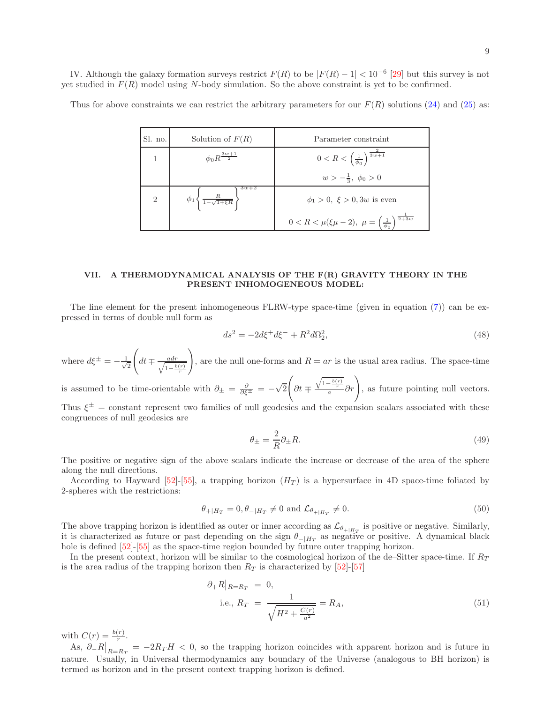IV. Although the galaxy formation surveys restrict  $F(R)$  to be  $|F(R) - 1| < 10^{-6}$  [\[29\]](#page-11-20) but this survey is not yet studied in  $F(R)$  model using N-body simulation. So the above constraint is yet to be confirmed.

| Sl. no.        | Solution of $F(R)$                                                     | Parameter constraint                                                              |
|----------------|------------------------------------------------------------------------|-----------------------------------------------------------------------------------|
|                | $\phi_0 R^{\frac{3w+1}{2}}$                                            | $0 < R < \left(\frac{1}{\phi_0}\right)^{\frac{2}{3w+1}}$                          |
|                |                                                                        | $w > -\frac{1}{3}, \ \phi_0 > 0$                                                  |
| $\overline{2}$ | $3\overline{w}+2$<br>$\phi_1\left\{\frac{R}{1-\sqrt{1+\xi R}}\right\}$ | $\phi_1 > 0, \xi > 0, 3w$ is even                                                 |
|                |                                                                        | $0 < R < \mu(\xi\mu - 2), \ \mu = \left(\frac{1}{\phi_0}\right)^{\frac{1}{2+3w}}$ |

Thus for above constraints we can restrict the arbitrary parameters for our  $F(R)$  solutions [\(24\)](#page-3-1) and [\(25\)](#page-3-2) as:

## VII. A THERMODYNAMICAL ANALYSIS OF THE F(R) GRAVITY THEORY IN THE PRESENT INHOMOGENEOUS MODEL:

The line element for the present inhomogeneous FLRW-type space-time (given in equation [\(7\)](#page-1-3)) can be expressed in terms of double null form as

$$
ds^2 = -2d\xi^+d\xi^- + R^2d\Omega_2^2,\tag{48}
$$

where  $d\xi^{\pm} = -\frac{1}{\sqrt{2}}$ 2  $\sqrt{2}$  $dt \mp \frac{adr}{\sqrt{1-b}}$  $1-\frac{b(r)}{r}$  $\setminus$ , are the null one-forms and  $R = ar$  is the usual area radius. The space-time

is assumed to be time-orientable with  $\partial_{\pm} = \frac{\partial}{\partial \xi^{\pm}} = -\sqrt{2}$  $\sqrt{ }$  $\partial t \mp \frac{\sqrt{1-\frac{b(r)}{r}}}{a} \partial r$ , as future pointing null vectors. Thus  $\xi^{\pm}$  = constant represent two families of null geodesics and the expansion scalars associated with these congruences of null geodesics are

$$
\theta_{\pm} = \frac{2}{R} \partial_{\pm} R. \tag{49}
$$

The positive or negative sign of the above scalars indicate the increase or decrease of the area of the sphere along the null directions.

According to Hayward [\[52\]](#page-12-7)-[\[55](#page-12-8)], a trapping horizon  $(H_T)$  is a hypersurface in 4D space-time foliated by 2-spheres with the restrictions:

$$
\theta_{+|H_T} = 0, \theta_{-|H_T} \neq 0 \text{ and } \mathcal{L}_{\theta_{+|H_T}} \neq 0. \tag{50}
$$

The above trapping horizon is identified as outer or inner according as  $\mathcal{L}_{\theta_{+|H_T|}}$  is positive or negative. Similarly, it is characterized as future or past depending on the sign  $\theta_{-|H_T|}$  as negative or positive. A dynamical black hole is defined  $[52]$ - $[55]$  $[55]$  as the space-time region bounded by future outer trapping horizon.

In the present context, horizon will be similar to the cosmological horizon of the de–Sitter space-time. If  $R_T$ is the area radius of the trapping horizon then  $R_T$  is characterized by [\[52\]](#page-12-7)-[\[57](#page-12-9)]

$$
\partial_{+}R|_{R=R_{T}} = 0,
$$
  
i.e.,  $R_{T} = \frac{1}{\sqrt{H^{2} + \frac{C(r)}{a^{2}}}} = R_{A},$  (51)

with  $C(r) = \frac{b(r)}{r}$ .

As,  $\partial_R B|_{R=R_T} = -2R_T H < 0$ , so the trapping horizon coincides with apparent horizon and is future in nature. Usually, in Universal thermodynamics any boundary of the Universe (analogous to BH horizon) is termed as horizon and in the present context trapping horizon is defined.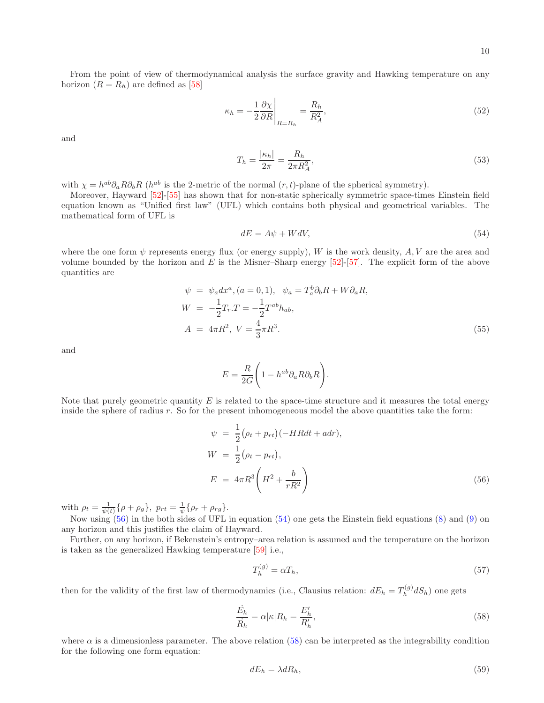From the point of view of thermodynamical analysis the surface gravity and Hawking temperature on any horizon  $(R = R_h)$  are defined as [\[58](#page-12-10)]

$$
\kappa_h = -\frac{1}{2} \frac{\partial \chi}{\partial R} \bigg|_{R=R_h} = \frac{R_h}{R_A^2},\tag{52}
$$

and

$$
T_h = \frac{|\kappa_h|}{2\pi} = \frac{R_h}{2\pi R_A^2},\tag{53}
$$

with  $\chi = h^{ab}\partial_a R \partial_b R$  ( $h^{ab}$  is the 2-metric of the normal  $(r, t)$ -plane of the spherical symmetry).

Moreover, Hayward [\[52\]](#page-12-7)-[\[55\]](#page-12-8) has shown that for non-static spherically symmetric space-times Einstein field equation known as "Unified first law" (UFL) which contains both physical and geometrical variables. The mathematical form of UFL is

<span id="page-9-1"></span>
$$
dE = A\psi + WdV,\tag{54}
$$

where the one form  $\psi$  represents energy flux (or energy supply), W is the work density, A, V are the area and volume bounded by the horizon and E is the Misner–Sharp energy  $[52]$ - $[57]$ . The explicit form of the above quantities are

$$
\psi = \psi_a dx^a, (a = 0, 1), \quad \psi_a = T_a^b \partial_b R + W \partial_a R,
$$
  
\n
$$
W = -\frac{1}{2} T_r \cdot T = -\frac{1}{2} T^{ab} h_{ab},
$$
  
\n
$$
A = 4\pi R^2, \quad V = \frac{4}{3} \pi R^3.
$$
\n(55)

and

$$
E = \frac{R}{2G} \left( 1 - h^{ab} \partial_a R \partial_b R \right).
$$

Note that purely geometric quantity  $E$  is related to the space-time structure and it measures the total energy inside the sphere of radius  $r$ . So for the present inhomogeneous model the above quantities take the form:

<span id="page-9-0"></span>
$$
\psi = \frac{1}{2} (\rho_t + p_{rt}) (-HRdt + adr),
$$
\n
$$
W = \frac{1}{2} (\rho_t - p_{rt}),
$$
\n
$$
E = 4\pi R^3 \left( H^2 + \frac{b}{rR^2} \right)
$$
\n(56)

with  $\rho_t = \frac{1}{\psi(t)} \{ \rho + \rho_g \}, \ p_{rt} = \frac{1}{\psi} \{ \rho_r + \rho_{rg} \}.$ 

Now using [\(56\)](#page-9-0) in the both sides of UFL in equation [\(54\)](#page-9-1) one gets the Einstein field equations [\(8\)](#page-1-4) and [\(9\)](#page-1-5) on any horizon and this justifies the claim of Hayward.

Further, on any horizon, if Bekenstein's entropy–area relation is assumed and the temperature on the horizon is taken as the generalized Hawking temperature [\[59\]](#page-12-11) i.e.,

<span id="page-9-2"></span>
$$
T_h^{(g)} = \alpha T_h,\tag{57}
$$

then for the validity of the first law of thermodynamics (i.e., Clausius relation:  $dE_h = T_h^{(g)}$  $h^{(g)}dS_h$ ) one gets

$$
\frac{\dot{E}_h}{\dot{R}_h} = \alpha |\kappa| R_h = \frac{E'_h}{R'_h},\tag{58}
$$

where  $\alpha$  is a dimensionless parameter. The above relation [\(58\)](#page-9-2) can be interpreted as the integrability condition for the following one form equation:

$$
dE_h = \lambda dR_h,\tag{59}
$$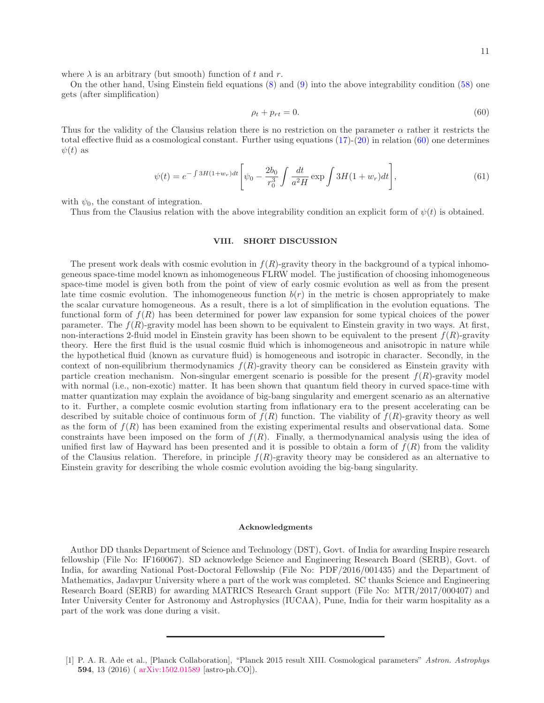where  $\lambda$  is an arbitrary (but smooth) function of t and r.

On the other hand, Using Einstein field equations [\(8\)](#page-1-4) and [\(9\)](#page-1-5) into the above integrability condition [\(58\)](#page-9-2) one gets (after simplification)

$$
\rho_t + p_{rt} = 0. \tag{60}
$$

Thus for the validity of the Clausius relation there is no restriction on the parameter  $\alpha$  rather it restricts the total effective fluid as a cosmological constant. Further using equations  $(17)-(20)$  $(17)-(20)$  in relation  $(60)$  one determines  $\psi(t)$  as

<span id="page-10-1"></span>
$$
\psi(t) = e^{-\int 3H(1+w_r)dt} \left[ \psi_0 - \frac{2b_0}{r_0^3} \int \frac{dt}{a^2 H} \exp \int 3H(1+w_r)dt \right],
$$
\n(61)

with  $\psi_0$ , the constant of integration.

Thus from the Clausius relation with the above integrability condition an explicit form of  $\psi(t)$  is obtained.

### VIII. SHORT DISCUSSION

The present work deals with cosmic evolution in  $f(R)$ -gravity theory in the background of a typical inhomogeneous space-time model known as inhomogeneous FLRW model. The justification of choosing inhomogeneous space-time model is given both from the point of view of early cosmic evolution as well as from the present late time cosmic evolution. The inhomogeneous function  $b(r)$  in the metric is chosen appropriately to make the scalar curvature homogeneous. As a result, there is a lot of simplification in the evolution equations. The functional form of  $f(R)$  has been determined for power law expansion for some typical choices of the power parameter. The  $f(R)$ -gravity model has been shown to be equivalent to Einstein gravity in two ways. At first, non-interactions 2-fluid model in Einstein gravity has been shown to be equivalent to the present  $f(R)$ -gravity theory. Here the first fluid is the usual cosmic fluid which is inhomogeneous and anisotropic in nature while the hypothetical fluid (known as curvature fluid) is homogeneous and isotropic in character. Secondly, in the context of non-equilibrium thermodynamics  $f(R)$ -gravity theory can be considered as Einstein gravity with particle creation mechanism. Non-singular emergent scenario is possible for the present  $f(R)$ -gravity model with normal (i.e., non-exotic) matter. It has been shown that quantum field theory in curved space-time with matter quantization may explain the avoidance of big-bang singularity and emergent scenario as an alternative to it. Further, a complete cosmic evolution starting from inflationary era to the present accelerating can be described by suitable choice of continuous form of  $f(R)$  function. The viability of  $f(R)$ -gravity theory as well as the form of  $f(R)$  has been examined from the existing experimental results and observational data. Some constraints have been imposed on the form of  $f(R)$ . Finally, a thermodynamical analysis using the idea of unified first law of Hayward has been presented and it is possible to obtain a form of  $f(R)$  from the validity of the Clausius relation. Therefore, in principle  $f(R)$ -gravity theory may be considered as an alternative to Einstein gravity for describing the whole cosmic evolution avoiding the big-bang singularity.

### Acknowledgments

Author DD thanks Department of Science and Technology (DST), Govt. of India for awarding Inspire research fellowship (File No: IF160067). SD acknowledge Science and Engineering Research Board (SERB), Govt. of India, for awarding National Post-Doctoral Fellowship (File No: PDF/2016/001435) and the Department of Mathematics, Jadavpur University where a part of the work was completed. SC thanks Science and Engineering Research Board (SERB) for awarding MATRICS Research Grant support (File No: MTR/2017/000407) and Inter University Center for Astronomy and Astrophysics (IUCAA), Pune, India for their warm hospitality as a part of the work was done during a visit.

<span id="page-10-0"></span><sup>[1]</sup> P. A. R. Ade et al., [Planck Collaboration], "Planck 2015 result XIII. Cosmological parameters" Astron. Astrophys 594, 13 (2016) ( [arXiv:1502.01589](http://arxiv.org/abs/1502.01589) [astro-ph.CO]).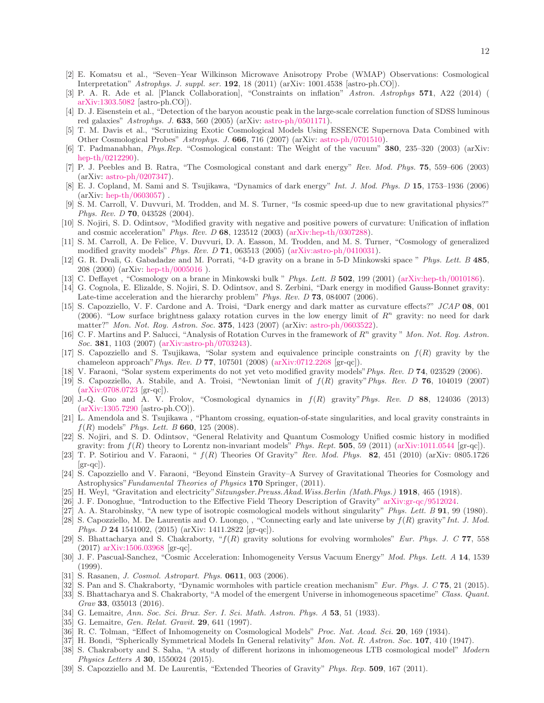- [2] E. Komatsu et al., "Seven–Year Wilkinson Microwave Anisotropy Probe (WMAP) Observations: Cosmological Interpretation" Astrophys. J. suppl. ser. 192, 18 (2011) (arXiv: 1001.4538 [astro-ph.CO]).
- [3] P. A. R. Ade et al. [Planck Collaboration], "Constraints on inflation" Astron. Astrophys 571, A22 (2014) ( [arXiv:1303.5082](http://arxiv.org/abs/1303.5082) [astro-ph.CO]).
- [4] D. J. Eisenstein et al., "Detection of the baryon acoustic peak in the large-scale correlation function of SDSS luminous red galaxies" Astrophys. J. 633, 560 (2005) (arXiv: [astro-ph/0501171\)](http://arxiv.org/abs/astro-ph/0501171).
- <span id="page-11-0"></span>[5] T. M. Davis et al., "Scrutinizing Exotic Cosmological Models Using ESSENCE Supernova Data Combined with Other Cosmological Probes" Astrophys. J. 666, 716 (2007) (arXiv: [astro-ph/0701510\)](http://arxiv.org/abs/astro-ph/0701510).
- <span id="page-11-1"></span>[6] T. Padmanabhan, Phys.Rep. "Cosmological constant: The Weight of the vacuum" 380, 235–320 (2003) (arXiv: [hep-th/0212290\)](http://arxiv.org/abs/hep-th/0212290).
- [7] P. J. Peebles and B. Ratra, "The Cosmological constant and dark energy" Rev. Mod. Phys. 75, 559–606 (2003) (arXiv: [astro-ph/0207347\)](http://arxiv.org/abs/astro-ph/0207347).
- <span id="page-11-2"></span>[8] E. J. Copland, M. Sami and S. Tsujikawa, "Dynamics of dark energy" Int. J. Mod. Phys. D 15, 1753–1936 (2006) (arXiv: [hep-th/0603057\)](http://arxiv.org/abs/hep-th/0603057) .
- <span id="page-11-3"></span>[9] S. M. Carroll, V. Duvvuri, M. Trodden, and M. S. Turner, "Is cosmic speed-up due to new gravitational physics?" Phys. Rev. D **70**, 043528 (2004).
- [10] S. Nojiri, S. D. Odintsov, "Modified gravity with negative and positive powers of curvature: Unification of inflation and cosmic acceleration" Phys. Rev. D 68, 123512 (2003) [\(arXiv:hep-th/0307288\)](http://arxiv.org/abs/hep-th/0307288).
- <span id="page-11-4"></span>[11] S. M. Carroll, A. De Felice, V. Duvvuri, D. A. Easson, M. Trodden, and M. S. Turner, "Cosmology of generalized modified gravity models" Phys. Rev. D 71, 063513 (2005) [\(arXiv:astro-ph/0410031\)](http://arxiv.org/abs/astro-ph/0410031).
- <span id="page-11-5"></span>[12] G. R. Dvali, G. Gabadadze and M. Porrati, "4-D gravity on a brane in 5-D Minkowski space " Phys. Lett. B 485, 208 (2000) (arXiv: [hep-th/0005016](http://arxiv.org/abs/hep-th/0005016) ).
- <span id="page-11-6"></span>[13] C. Deffayet, "Cosmology on a brane in Minkowski bulk " Phys. Lett. B 502, 199 (2001) [\(arXiv:hep-th/0010186\)](http://arxiv.org/abs/hep-th/0010186).
- <span id="page-11-7"></span>[14] G. Cognola, E. Elizalde, S. Nojiri, S. D. Odintsov, and S. Zerbini, "Dark energy in modified Gauss-Bonnet gravity: Late-time acceleration and the hierarchy problem" Phys. Rev. D 73, 084007 (2006).
- <span id="page-11-8"></span>[15] S. Capozziello, V. F. Cardone and A. Troisi, "Dark energy and dark matter as curvature effects?" JCAP 08, 001 (2006). "Low surface brightness galaxy rotation curves in the low energy limit of  $R<sup>n</sup>$  gravity: no need for dark matter?" Mon. Not. Roy. Astron. Soc. 375, 1423 (2007) (arXiv: [astro-ph/0603522\)](http://arxiv.org/abs/astro-ph/0603522).
- <span id="page-11-9"></span>[16] C. F. Martins and P. Salucci, "Analysis of Rotation Curves in the framework of  $R<sup>n</sup>$  gravity " Mon. Not. Roy. Astron. Soc. 381, 1103 (2007) [\(arXiv:astro-ph/0703243\)](http://arxiv.org/abs/astro-ph/0703243).
- <span id="page-11-10"></span>[17] S. Capozziello and S. Tsujikawa, "Solar system and equivalence principle constraints on  $f(R)$  gravity by the chameleon approach" Phys. Rev. D 77, 107501 (2008) [\(arXiv:0712.2268](http://arxiv.org/abs/0712.2268) [gr-qc]).
- [18] V. Faraoni, "Solar system experiments do not yet veto modified gravity models"Phys. Rev. D 74, 023529 (2006).
- <span id="page-11-11"></span>[19] S. Capozziello, A. Stabile, and A. Troisi, "Newtonian limit of  $f(R)$  gravity" Phys. Rev. D 76, 104019 (2007) [\(arXiv:0708.0723](http://arxiv.org/abs/0708.0723) [gr-qc]).
- <span id="page-11-12"></span>[20] J.-Q. Guo and A. V. Frolov, "Cosmological dynamics in  $f(R)$  gravity" Phys. Rev. D 88, 124036 (2013) [\(arXiv:1305.7290](http://arxiv.org/abs/1305.7290) [astro-ph.CO]).
- <span id="page-11-13"></span>[21] L. Amendola and S. Tsujikawa , "Phantom crossing, equation-of-state singularities, and local gravity constraints in  $f(R)$  models" *Phys. Lett. B* **660**, 125 (2008).
- <span id="page-11-14"></span>[22] S. Nojiri, and S. D. Odintsov, "General Relativity and Quantum Cosmology Unified cosmic history in modified gravity: from  $f(R)$  theory to Lorentz non-invariant models" Phys. Rept. 505, 59 (2011) [\(arXiv:1011.0544](http://arxiv.org/abs/1011.0544) [gr-qc]).
- [23] T. P. Sotiriou and V. Faraoni, "  $f(R)$  Theories Of Gravity" Rev. Mod. Phys. 82, 451 (2010) (arXiv: 0805.1726  $\left[\text{gr-qc}\right]$ ).
- <span id="page-11-15"></span>[24] S. Capozziello and V. Faraoni, "Beyond Einstein Gravity–A Survey of Gravitational Theories for Cosmology and Astrophysics" Fundamental Theories of Physics 170 Springer, (2011).
- <span id="page-11-16"></span>[25] H. Weyl, "Gravitation and electricity" Sitzungsber. Preuss. Akad. Wiss. Berlin (Math. Phys.) 1918, 465 (1918).
- <span id="page-11-17"></span>[26] J. F. Donoghue, "Introduction to the Effective Field Theory Description of Gravity" [arXiv:gr-qc/9512024.](http://arxiv.org/abs/gr-qc/9512024)
- <span id="page-11-18"></span>[27] A. A. Starobinsky, "A new type of isotropic cosmological models without singularity" Phys. Lett. B 91, 99 (1980).
- <span id="page-11-19"></span>[28] S. Capozziello, M. De Laurentis and O. Luongo, , "Connecting early and late universe by  $f(R)$  gravity" Int. J. Mod. Phys. D 24 1541002, (2015) (arXiv: 1411.2822 [gr-qc]).
- <span id="page-11-20"></span>[29] S. Bhattacharya and S. Chakraborty, " $f(R)$  gravity solutions for evolving wormholes" Eur. Phys. J. C 77, 558 (2017) [arXiv:1506.03968](http://arxiv.org/abs/1506.03968) [gr-qc].
- <span id="page-11-21"></span>[30] J. F. Pascual-Sanchez, "Cosmic Acceleration: Inhomogeneity Versus Vacuum Energy" Mod. Phys. Lett. A 14, 1539 (1999).
- <span id="page-11-22"></span>[31] S. Rasanen, *J. Cosmol. Astropart. Phys.* **0611**, 003 (2006).
- <span id="page-11-23"></span>[32] S. Pan and S. Chakraborty, "Dynamic wormholes with particle creation mechanism" Eur. Phys. J. C 75, 21 (2015).
- <span id="page-11-24"></span>[33] S. Bhattacharya and S. Chakraborty, "A model of the emergent Universe in inhomogeneous spacetime" Class. Quant. Grav 33, 035013 (2016).
- <span id="page-11-25"></span>[34] G. Lemaitre, Ann. Soc. Sci. Brux. Ser. I. Sci. Math. Astron. Phys. A 53, 51 (1933).
- [35] G. Lemaitre, *Gen. Relat. Gravit.* **29**, 641 (1997).
- [36] R. C. Tolman, "Effect of Inhomogeneity on Cosmological Models" Proc. Nat. Acad. Sci. 20, 169 (1934).
- [37] H. Bondi, "Spherically Symmetrical Models In General relativity" Mon. Not. R. Astron. Soc. 107, 410 (1947).
- <span id="page-11-26"></span>[38] S. Chakraborty and S. Saha, "A study of different horizons in inhomogeneous LTB cosmological model" Modern Physics Letters A 30, 1550024 (2015).
- <span id="page-11-27"></span>[39] S. Capozziello and M. De Laurentis, "Extended Theories of Gravity" Phys. Rep. 509, 167 (2011).